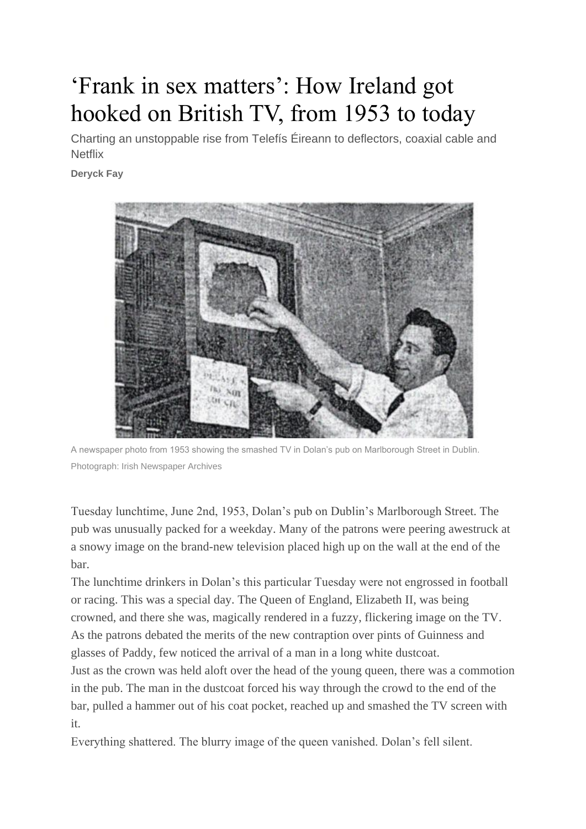## 'Frank in sex matters': How Ireland got hooked on British TV, from 1953 to today

Charting an unstoppable rise from Telefís Éireann to deflectors, coaxial cable and **Netflix** 

**[Deryck Fay](https://www.irishtimes.com/culture/books/frank-in-sex-matters-how-ireland-got-hooked-on-british-tv-from-1953-to-today-1.4771143#comments)**



A newspaper photo from 1953 showing the smashed TV in Dolan's pub on Marlborough Street in Dublin. Photograph: Irish Newspaper Archives

Tuesday lunchtime, June 2nd, 1953, Dolan's pub on Dublin's Marlborough Street. The pub was unusually packed for a weekday. Many of the patrons were peering awestruck at a snowy image on the brand-new television placed high up on the wall at the end of the bar.

The lunchtime drinkers in Dolan's this particular Tuesday were not engrossed in football or racing. This was a special day. The Queen of England, Elizabeth II, was being crowned, and there she was, magically rendered in a fuzzy, flickering image on the TV. As the patrons debated the merits of the new contraption over pints of Guinness and glasses of Paddy, few noticed the arrival of a man in a long white dustcoat.

Just as the crown was held aloft over the head of the young queen, there was a commotion in the pub. The man in the dustcoat forced his way through the crowd to the end of the bar, pulled a hammer out of his coat pocket, reached up and smashed the TV screen with it.

Everything shattered. The blurry image of the queen vanished. Dolan's fell silent.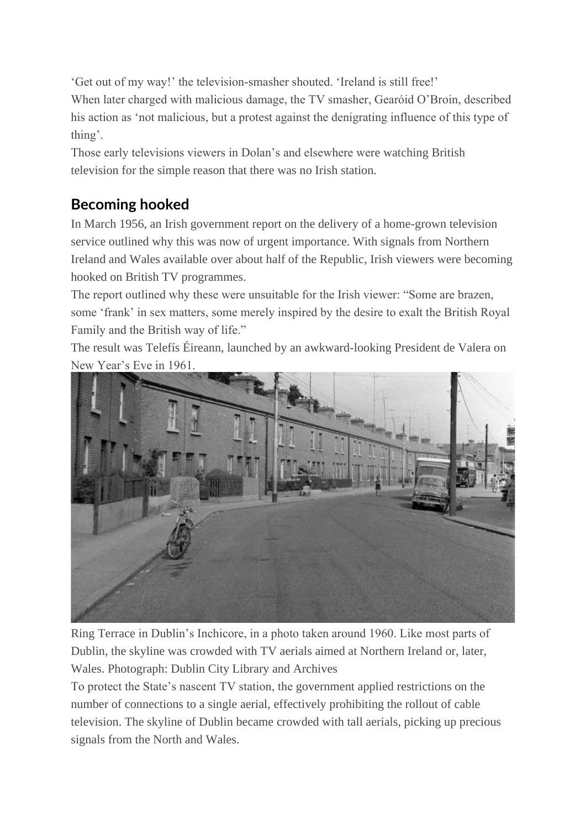'Get out of my way!' the television-smasher shouted. 'Ireland is still free!'

When later charged with malicious damage, the TV smasher, Gearóid O'Broin, described his action as 'not malicious, but a protest against the denigrating influence of this type of thing'.

Those early televisions viewers in Dolan's and elsewhere were watching British television for the simple reason that there was no Irish station.

## **Becoming hooked**

In March 1956, an Irish government report on the delivery of a home-grown television service outlined why this was now of urgent importance. With signals from Northern Ireland and Wales available over about half of the Republic, Irish viewers were becoming hooked on British TV programmes.

The report outlined why these were unsuitable for the Irish viewer: "Some are brazen, some 'frank' in sex matters, some merely inspired by the desire to exalt the British Royal Family and the British way of life."

The result was Telefís Éireann, launched by an awkward-looking President de Valera on New Year's Eve in 1961.



Ring Terrace in Dublin's Inchicore, in a photo taken around 1960. Like most parts of Dublin, the skyline was crowded with TV aerials aimed at Northern Ireland or, later, Wales. Photograph: Dublin City Library and Archives

To protect the State's nascent TV station, the government applied restrictions on the number of connections to a single aerial, effectively prohibiting the rollout of cable television. The skyline of Dublin became crowded with tall aerials, picking up precious signals from the North and Wales.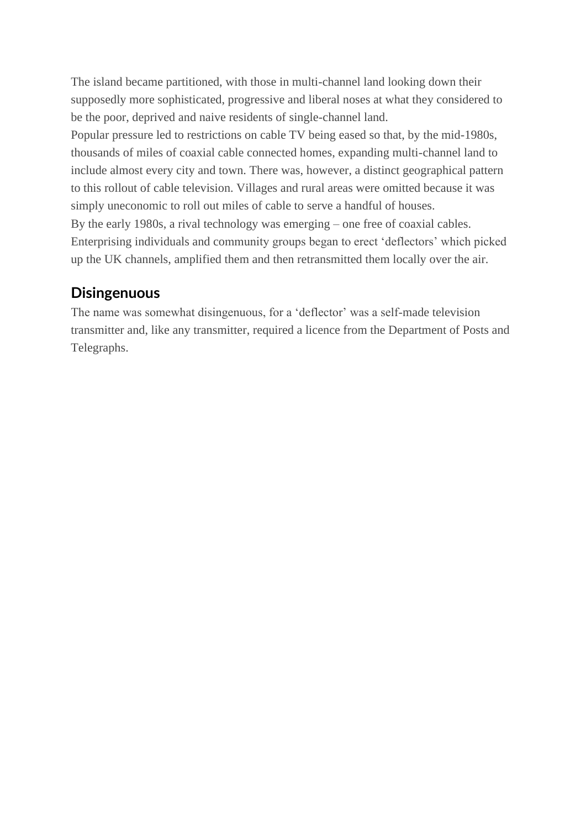The island became partitioned, with those in multi-channel land looking down their supposedly more sophisticated, progressive and liberal noses at what they considered to be the poor, deprived and naive residents of single-channel land.

Popular pressure led to restrictions on cable TV being eased so that, by the mid-1980s, thousands of miles of coaxial cable connected homes, expanding multi-channel land to include almost every city and town. There was, however, a distinct geographical pattern to this rollout of cable television. Villages and rural areas were omitted because it was simply uneconomic to roll out miles of cable to serve a handful of houses. By the early 1980s, a rival technology was emerging – one free of coaxial cables. Enterprising individuals and community groups began to erect 'deflectors' which picked

up the UK channels, amplified them and then retransmitted them locally over the air.

## **Disingenuous**

The name was somewhat disingenuous, for a 'deflector' was a self-made television transmitter and, like any transmitter, required a licence from the Department of Posts and Telegraphs.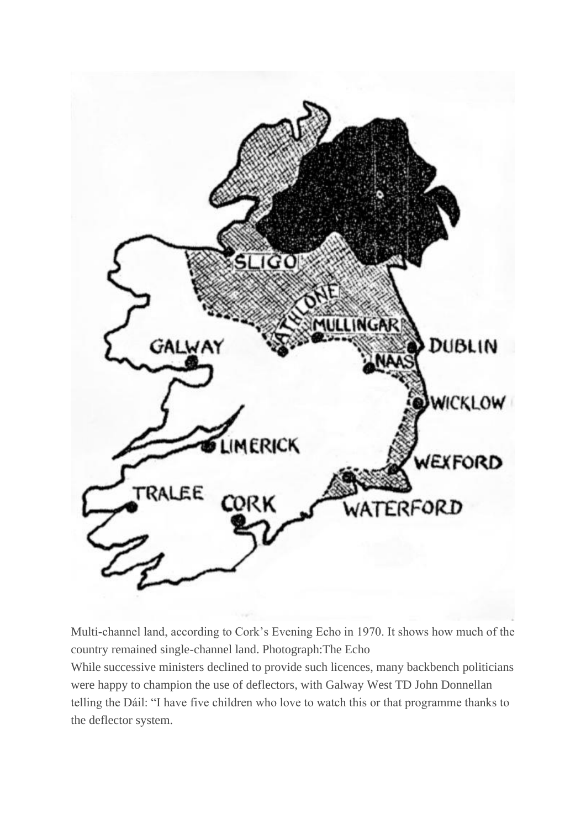

Multi-channel land, according to Cork's Evening Echo in 1970. It shows how much of the country remained single-channel land. Photograph:The Echo

While successive ministers declined to provide such licences, many backbench politicians were happy to champion the use of deflectors, with Galway West TD John Donnellan telling the Dáil: "I have five children who love to watch this or that programme thanks to the deflector system.